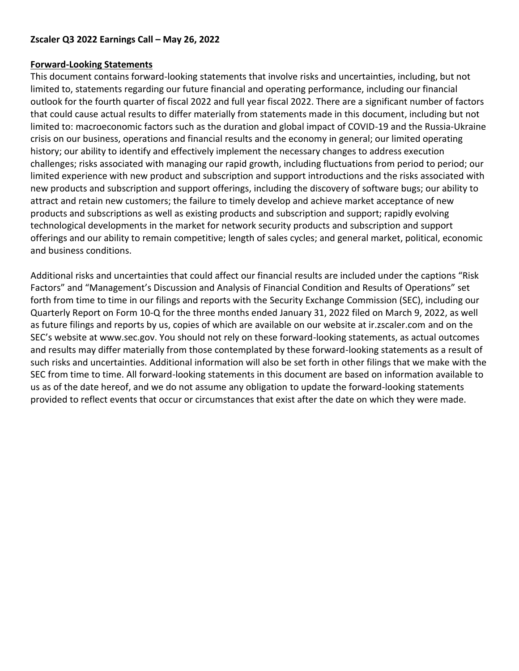## **Zscaler Q3 2022 Earnings Call – May 26, 2022**

## **Forward-Looking Statements**

This document contains forward-looking statements that involve risks and uncertainties, including, but not limited to, statements regarding our future financial and operating performance, including our financial outlook for the fourth quarter of fiscal 2022 and full year fiscal 2022. There are a significant number of factors that could cause actual results to differ materially from statements made in this document, including but not limited to: macroeconomic factors such as the duration and global impact of COVID-19 and the Russia-Ukraine crisis on our business, operations and financial results and the economy in general; our limited operating history; our ability to identify and effectively implement the necessary changes to address execution challenges; risks associated with managing our rapid growth, including fluctuations from period to period; our limited experience with new product and subscription and support introductions and the risks associated with new products and subscription and support offerings, including the discovery of software bugs; our ability to attract and retain new customers; the failure to timely develop and achieve market acceptance of new products and subscriptions as well as existing products and subscription and support; rapidly evolving technological developments in the market for network security products and subscription and support offerings and our ability to remain competitive; length of sales cycles; and general market, political, economic and business conditions.

Additional risks and uncertainties that could affect our financial results are included under the captions "Risk Factors" and "Management's Discussion and Analysis of Financial Condition and Results of Operations" set forth from time to time in our filings and reports with the Security Exchange Commission (SEC), including our Quarterly Report on Form 10-Q for the three months ended January 31, 2022 filed on March 9, 2022, as well as future filings and reports by us, copies of which are available on our website at ir.zscaler.com and on the SEC's website at www.sec.gov. You should not rely on these forward-looking statements, as actual outcomes and results may differ materially from those contemplated by these forward-looking statements as a result of such risks and uncertainties. Additional information will also be set forth in other filings that we make with the SEC from time to time. All forward-looking statements in this document are based on information available to us as of the date hereof, and we do not assume any obligation to update the forward-looking statements provided to reflect events that occur or circumstances that exist after the date on which they were made.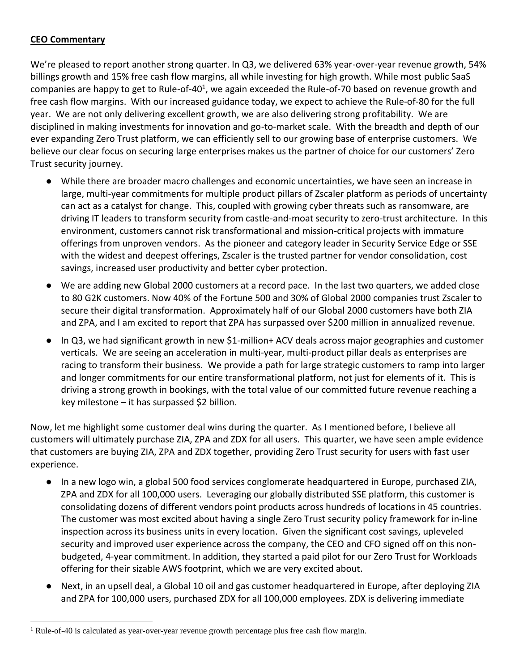## **CEO Commentary**

We're pleased to report another strong quarter. In Q3, we delivered 63% year-over-year revenue growth, 54% billings growth and 15% free cash flow margins, all while investing for high growth. While most public SaaS companies are happy to get to Rule-of-40<sup>1</sup>, we again exceeded the Rule-of-70 based on revenue growth and free cash flow margins. With our increased guidance today, we expect to achieve the Rule-of-80 for the full year. We are not only delivering excellent growth, we are also delivering strong profitability. We are disciplined in making investments for innovation and go-to-market scale. With the breadth and depth of our ever expanding Zero Trust platform, we can efficiently sell to our growing base of enterprise customers. We believe our clear focus on securing large enterprises makes us the partner of choice for our customers' Zero Trust security journey.

- While there are broader macro challenges and economic uncertainties, we have seen an increase in large, multi-year commitments for multiple product pillars of Zscaler platform as periods of uncertainty can act as a catalyst for change. This, coupled with growing cyber threats such as ransomware, are driving IT leaders to transform security from castle-and-moat security to zero-trust architecture. In this environment, customers cannot risk transformational and mission-critical projects with immature offerings from unproven vendors. As the pioneer and category leader in Security Service Edge or SSE with the widest and deepest offerings, Zscaler is the trusted partner for vendor consolidation, cost savings, increased user productivity and better cyber protection.
- We are adding new Global 2000 customers at a record pace. In the last two quarters, we added close to 80 G2K customers. Now 40% of the Fortune 500 and 30% of Global 2000 companies trust Zscaler to secure their digital transformation. Approximately half of our Global 2000 customers have both ZIA and ZPA, and I am excited to report that ZPA has surpassed over \$200 million in annualized revenue.
- In Q3, we had significant growth in new \$1-million+ ACV deals across major geographies and customer verticals. We are seeing an acceleration in multi-year, multi-product pillar deals as enterprises are racing to transform their business. We provide a path for large strategic customers to ramp into larger and longer commitments for our entire transformational platform, not just for elements of it. This is driving a strong growth in bookings, with the total value of our committed future revenue reaching a key milestone – it has surpassed \$2 billion.

Now, let me highlight some customer deal wins during the quarter. As I mentioned before, I believe all customers will ultimately purchase ZIA, ZPA and ZDX for all users. This quarter, we have seen ample evidence that customers are buying ZIA, ZPA and ZDX together, providing Zero Trust security for users with fast user experience.

- In a new logo win, a global 500 food services conglomerate headquartered in Europe, purchased ZIA, ZPA and ZDX for all 100,000 users. Leveraging our globally distributed SSE platform, this customer is consolidating dozens of different vendors point products across hundreds of locations in 45 countries. The customer was most excited about having a single Zero Trust security policy framework for in-line inspection across its business units in every location. Given the significant cost savings, upleveled security and improved user experience across the company, the CEO and CFO signed off on this nonbudgeted, 4-year commitment. In addition, they started a paid pilot for our Zero Trust for Workloads offering for their sizable AWS footprint, which we are very excited about.
- Next, in an upsell deal, a Global 10 oil and gas customer headquartered in Europe, after deploying ZIA and ZPA for 100,000 users, purchased ZDX for all 100,000 employees. ZDX is delivering immediate

<sup>&</sup>lt;sup>1</sup> Rule-of-40 is calculated as year-over-year revenue growth percentage plus free cash flow margin.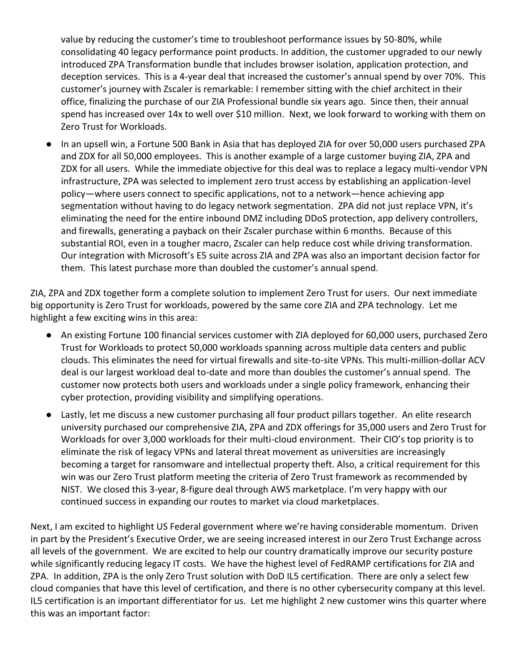value by reducing the customer's time to troubleshoot performance issues by 50-80%, while consolidating 40 legacy performance point products. In addition, the customer upgraded to our newly introduced ZPA Transformation bundle that includes browser isolation, application protection, and deception services. This is a 4-year deal that increased the customer's annual spend by over 70%. This customer's journey with Zscaler is remarkable: I remember sitting with the chief architect in their office, finalizing the purchase of our ZIA Professional bundle six years ago. Since then, their annual spend has increased over 14x to well over \$10 million. Next, we look forward to working with them on Zero Trust for Workloads.

● In an upsell win, a Fortune 500 Bank in Asia that has deployed ZIA for over 50,000 users purchased ZPA and ZDX for all 50,000 employees. This is another example of a large customer buying ZIA, ZPA and ZDX for all users. While the immediate objective for this deal was to replace a legacy multi-vendor VPN infrastructure, ZPA was selected to implement zero trust access by establishing an application-level policy—where users connect to specific applications, not to a network—hence achieving app segmentation without having to do legacy network segmentation. ZPA did not just replace VPN, it's eliminating the need for the entire inbound DMZ including DDoS protection, app delivery controllers, and firewalls, generating a payback on their Zscaler purchase within 6 months. Because of this substantial ROI, even in a tougher macro, Zscaler can help reduce cost while driving transformation. Our integration with Microsoft's E5 suite across ZIA and ZPA was also an important decision factor for them. This latest purchase more than doubled the customer's annual spend.

ZIA, ZPA and ZDX together form a complete solution to implement Zero Trust for users. Our next immediate big opportunity is Zero Trust for workloads, powered by the same core ZIA and ZPA technology. Let me highlight a few exciting wins in this area:

- An existing Fortune 100 financial services customer with ZIA deployed for 60,000 users, purchased Zero Trust for Workloads to protect 50,000 workloads spanning across multiple data centers and public clouds. This eliminates the need for virtual firewalls and site-to-site VPNs. This multi-million-dollar ACV deal is our largest workload deal to-date and more than doubles the customer's annual spend. The customer now protects both users and workloads under a single policy framework, enhancing their cyber protection, providing visibility and simplifying operations.
- Lastly, let me discuss a new customer purchasing all four product pillars together. An elite research university purchased our comprehensive ZIA, ZPA and ZDX offerings for 35,000 users and Zero Trust for Workloads for over 3,000 workloads for their multi-cloud environment. Their CIO's top priority is to eliminate the risk of legacy VPNs and lateral threat movement as universities are increasingly becoming a target for ransomware and intellectual property theft. Also, a critical requirement for this win was our Zero Trust platform meeting the criteria of Zero Trust framework as recommended by NIST. We closed this 3-year, 8-figure deal through AWS marketplace. I'm very happy with our continued success in expanding our routes to market via cloud marketplaces.

Next, I am excited to highlight US Federal government where we're having considerable momentum. Driven in part by the President's Executive Order, we are seeing increased interest in our Zero Trust Exchange across all levels of the government. We are excited to help our country dramatically improve our security posture while significantly reducing legacy IT costs. We have the highest level of FedRAMP certifications for ZIA and ZPA. In addition, ZPA is the only Zero Trust solution with DoD IL5 certification. There are only a select few cloud companies that have this level of certification, and there is no other cybersecurity company at this level. IL5 certification is an important differentiator for us. Let me highlight 2 new customer wins this quarter where this was an important factor: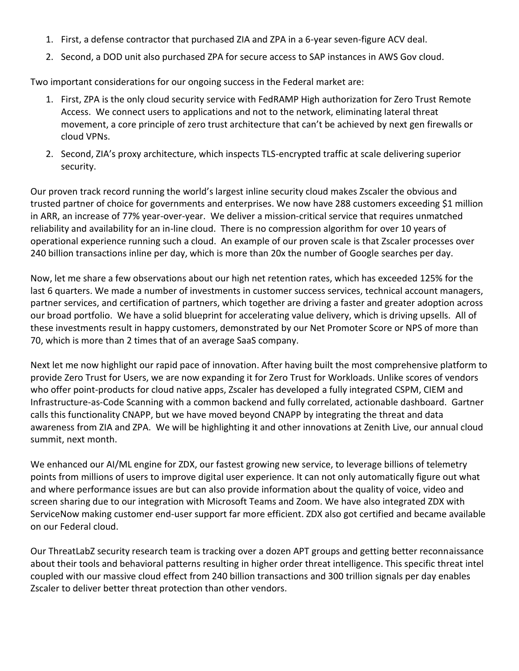- 1. First, a defense contractor that purchased ZIA and ZPA in a 6-year seven-figure ACV deal.
- 2. Second, a DOD unit also purchased ZPA for secure access to SAP instances in AWS Gov cloud.

Two important considerations for our ongoing success in the Federal market are:

- 1. First, ZPA is the only cloud security service with FedRAMP High authorization for Zero Trust Remote Access. We connect users to applications and not to the network, eliminating lateral threat movement, a core principle of zero trust architecture that can't be achieved by next gen firewalls or cloud VPNs.
- 2. Second, ZIA's proxy architecture, which inspects TLS-encrypted traffic at scale delivering superior security.

Our proven track record running the world's largest inline security cloud makes Zscaler the obvious and trusted partner of choice for governments and enterprises. We now have 288 customers exceeding \$1 million in ARR, an increase of 77% year-over-year. We deliver a mission-critical service that requires unmatched reliability and availability for an in-line cloud. There is no compression algorithm for over 10 years of operational experience running such a cloud. An example of our proven scale is that Zscaler processes over 240 billion transactions inline per day, which is more than 20x the number of Google searches per day.

Now, let me share a few observations about our high net retention rates, which has exceeded 125% for the last 6 quarters. We made a number of investments in customer success services, technical account managers, partner services, and certification of partners, which together are driving a faster and greater adoption across our broad portfolio. We have a solid blueprint for accelerating value delivery, which is driving upsells. All of these investments result in happy customers, demonstrated by our Net Promoter Score or NPS of more than 70, which is more than 2 times that of an average SaaS company.

Next let me now highlight our rapid pace of innovation. After having built the most comprehensive platform to provide Zero Trust for Users, we are now expanding it for Zero Trust for Workloads. Unlike scores of vendors who offer point-products for cloud native apps, Zscaler has developed a fully integrated CSPM, CIEM and Infrastructure-as-Code Scanning with a common backend and fully correlated, actionable dashboard. Gartner calls this functionality CNAPP, but we have moved beyond CNAPP by integrating the threat and data awareness from ZIA and ZPA. We will be highlighting it and other innovations at Zenith Live, our annual cloud summit, next month.

We enhanced our AI/ML engine for ZDX, our fastest growing new service, to leverage billions of telemetry points from millions of users to improve digital user experience. It can not only automatically figure out what and where performance issues are but can also provide information about the quality of voice, video and screen sharing due to our integration with Microsoft Teams and Zoom. We have also integrated ZDX with ServiceNow making customer end-user support far more efficient. ZDX also got certified and became available on our Federal cloud.

Our ThreatLabZ security research team is tracking over a dozen APT groups and getting better reconnaissance about their tools and behavioral patterns resulting in higher order threat intelligence. This specific threat intel coupled with our massive cloud effect from 240 billion transactions and 300 trillion signals per day enables Zscaler to deliver better threat protection than other vendors.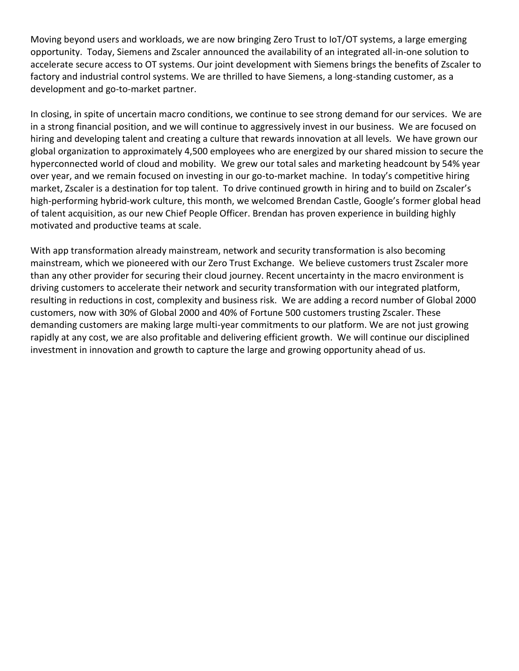Moving beyond users and workloads, we are now bringing Zero Trust to IoT/OT systems, a large emerging opportunity. Today, Siemens and Zscaler announced the availability of an integrated all-in-one solution to accelerate secure access to OT systems. Our joint development with Siemens brings the benefits of Zscaler to factory and industrial control systems. We are thrilled to have Siemens, a long-standing customer, as a development and go-to-market partner.

In closing, in spite of uncertain macro conditions, we continue to see strong demand for our services. We are in a strong financial position, and we will continue to aggressively invest in our business. We are focused on hiring and developing talent and creating a culture that rewards innovation at all levels. We have grown our global organization to approximately 4,500 employees who are energized by our shared mission to secure the hyperconnected world of cloud and mobility. We grew our total sales and marketing headcount by 54% year over year, and we remain focused on investing in our go-to-market machine. In today's competitive hiring market, Zscaler is a destination for top talent. To drive continued growth in hiring and to build on Zscaler's high-performing hybrid-work culture, this month, we welcomed Brendan Castle, Google's former global head of talent acquisition, as our new Chief People Officer. Brendan has proven experience in building highly motivated and productive teams at scale.

With app transformation already mainstream, network and security transformation is also becoming mainstream, which we pioneered with our Zero Trust Exchange. We believe customers trust Zscaler more than any other provider for securing their cloud journey. Recent uncertainty in the macro environment is driving customers to accelerate their network and security transformation with our integrated platform, resulting in reductions in cost, complexity and business risk. We are adding a record number of Global 2000 customers, now with 30% of Global 2000 and 40% of Fortune 500 customers trusting Zscaler. These demanding customers are making large multi-year commitments to our platform. We are not just growing rapidly at any cost, we are also profitable and delivering efficient growth. We will continue our disciplined investment in innovation and growth to capture the large and growing opportunity ahead of us.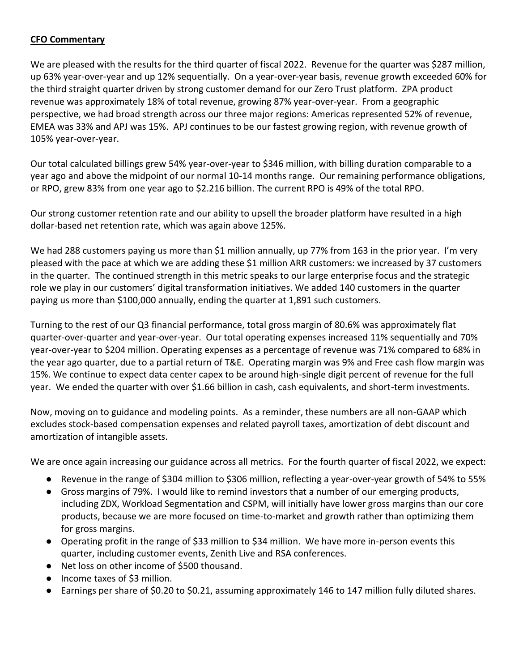## **CFO Commentary**

We are pleased with the results for the third quarter of fiscal 2022. Revenue for the quarter was \$287 million, up 63% year-over-year and up 12% sequentially. On a year-over-year basis, revenue growth exceeded 60% for the third straight quarter driven by strong customer demand for our Zero Trust platform. ZPA product revenue was approximately 18% of total revenue, growing 87% year-over-year. From a geographic perspective, we had broad strength across our three major regions: Americas represented 52% of revenue, EMEA was 33% and APJ was 15%. APJ continues to be our fastest growing region, with revenue growth of 105% year-over-year.

Our total calculated billings grew 54% year-over-year to \$346 million, with billing duration comparable to a year ago and above the midpoint of our normal 10-14 months range. Our remaining performance obligations, or RPO, grew 83% from one year ago to \$2.216 billion. The current RPO is 49% of the total RPO.

Our strong customer retention rate and our ability to upsell the broader platform have resulted in a high dollar-based net retention rate, which was again above 125%.

We had 288 customers paying us more than \$1 million annually, up 77% from 163 in the prior year. I'm very pleased with the pace at which we are adding these \$1 million ARR customers: we increased by 37 customers in the quarter. The continued strength in this metric speaks to our large enterprise focus and the strategic role we play in our customers' digital transformation initiatives. We added 140 customers in the quarter paying us more than \$100,000 annually, ending the quarter at 1,891 such customers.

Turning to the rest of our Q3 financial performance, total gross margin of 80.6% was approximately flat quarter-over-quarter and year-over-year. Our total operating expenses increased 11% sequentially and 70% year-over-year to \$204 million. Operating expenses as a percentage of revenue was 71% compared to 68% in the year ago quarter, due to a partial return of T&E. Operating margin was 9% and Free cash flow margin was 15%. We continue to expect data center capex to be around high-single digit percent of revenue for the full year. We ended the quarter with over \$1.66 billion in cash, cash equivalents, and short-term investments.

Now, moving on to guidance and modeling points. As a reminder, these numbers are all non-GAAP which excludes stock-based compensation expenses and related payroll taxes, amortization of debt discount and amortization of intangible assets.

We are once again increasing our guidance across all metrics. For the fourth quarter of fiscal 2022, we expect:

- Revenue in the range of \$304 million to \$306 million, reflecting a year-over-year growth of 54% to 55%
- Gross margins of 79%. I would like to remind investors that a number of our emerging products, including ZDX, Workload Segmentation and CSPM, will initially have lower gross margins than our core products, because we are more focused on time-to-market and growth rather than optimizing them for gross margins.
- Operating profit in the range of \$33 million to \$34 million. We have more in-person events this quarter, including customer events, Zenith Live and RSA conferences.
- Net loss on other income of \$500 thousand.
- Income taxes of \$3 million.
- Earnings per share of \$0.20 to \$0.21, assuming approximately 146 to 147 million fully diluted shares.